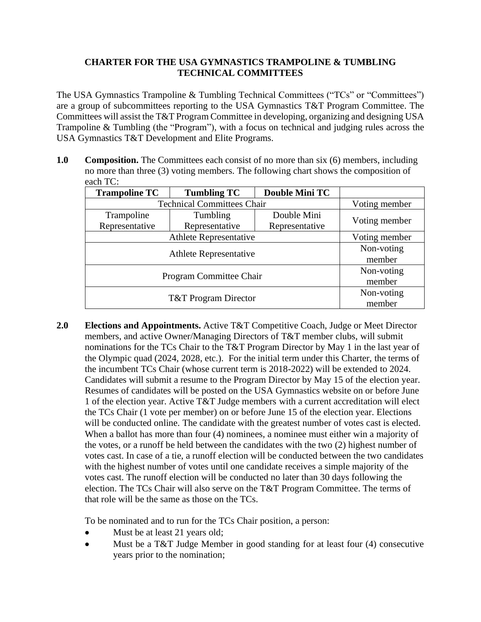## **CHARTER FOR THE USA GYMNASTICS TRAMPOLINE & TUMBLING TECHNICAL COMMITTEES**

The USA Gymnastics Trampoline & Tumbling Technical Committees ("TCs" or "Committees") are a group of subcommittees reporting to the USA Gymnastics T&T Program Committee. The Committees will assist the T&T Program Committee in developing, organizing and designing USA Trampoline & Tumbling (the "Program"), with a focus on technical and judging rules across the USA Gymnastics T&T Development and Elite Programs.

**1.0 Composition.** The Committees each consist of no more than six (6) members, including no more than three (3) voting members. The following chart shows the composition of each TC:

| <b>Trampoline TC</b>              | <b>Tumbling TC</b> | <b>Double Mini TC</b> |               |
|-----------------------------------|--------------------|-----------------------|---------------|
| <b>Technical Committees Chair</b> |                    |                       | Voting member |
| Trampoline                        | Tumbling           | Double Mini           | Voting member |
| Representative                    | Representative     | Representative        |               |
| <b>Athlete Representative</b>     |                    |                       | Voting member |
| <b>Athlete Representative</b>     |                    |                       | Non-voting    |
|                                   |                    |                       | member        |
| Program Committee Chair           |                    |                       | Non-voting    |
|                                   |                    |                       | member        |
| <b>T&amp;T</b> Program Director   |                    |                       | Non-voting    |
|                                   |                    |                       | member        |

**2.0 Elections and Appointments.** Active T&T Competitive Coach, Judge or Meet Director members, and active Owner/Managing Directors of T&T member clubs, will submit nominations for the TCs Chair to the T&T Program Director by May 1 in the last year of the Olympic quad (2024, 2028, etc.). For the initial term under this Charter, the terms of the incumbent TCs Chair (whose current term is 2018-2022) will be extended to 2024. Candidates will submit a resume to the Program Director by May 15 of the election year. Resumes of candidates will be posted on the USA Gymnastics website on or before June 1 of the election year. Active T&T Judge members with a current accreditation will elect the TCs Chair (1 vote per member) on or before June 15 of the election year. Elections will be conducted online. The candidate with the greatest number of votes cast is elected. When a ballot has more than four (4) nominees, a nominee must either win a majority of the votes, or a runoff be held between the candidates with the two (2) highest number of votes cast. In case of a tie, a runoff election will be conducted between the two candidates with the highest number of votes until one candidate receives a simple majority of the votes cast. The runoff election will be conducted no later than 30 days following the election. The TCs Chair will also serve on the T&T Program Committee. The terms of that role will be the same as those on the TCs.

To be nominated and to run for the TCs Chair position, a person:

- Must be at least 21 years old;
- Must be a T&T Judge Member in good standing for at least four (4) consecutive years prior to the nomination;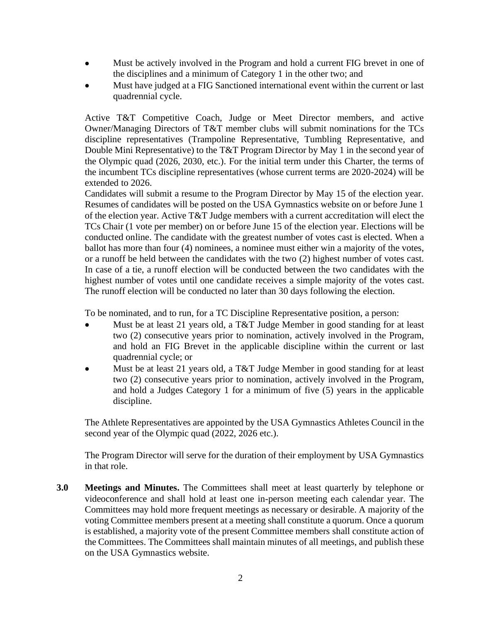- Must be actively involved in the Program and hold a current FIG brevet in one of the disciplines and a minimum of Category 1 in the other two; and
- Must have judged at a FIG Sanctioned international event within the current or last quadrennial cycle.

Active T&T Competitive Coach, Judge or Meet Director members, and active Owner/Managing Directors of T&T member clubs will submit nominations for the TCs discipline representatives (Trampoline Representative, Tumbling Representative, and Double Mini Representative) to the T&T Program Director by May 1 in the second year of the Olympic quad (2026, 2030, etc.). For the initial term under this Charter, the terms of the incumbent TCs discipline representatives (whose current terms are 2020-2024) will be extended to 2026.

Candidates will submit a resume to the Program Director by May 15 of the election year. Resumes of candidates will be posted on the USA Gymnastics website on or before June 1 of the election year. Active T&T Judge members with a current accreditation will elect the TCs Chair (1 vote per member) on or before June 15 of the election year. Elections will be conducted online. The candidate with the greatest number of votes cast is elected. When a ballot has more than four (4) nominees, a nominee must either win a majority of the votes, or a runoff be held between the candidates with the two (2) highest number of votes cast. In case of a tie, a runoff election will be conducted between the two candidates with the highest number of votes until one candidate receives a simple majority of the votes cast. The runoff election will be conducted no later than 30 days following the election.

To be nominated, and to run, for a TC Discipline Representative position, a person:

- Must be at least 21 years old, a T&T Judge Member in good standing for at least two (2) consecutive years prior to nomination, actively involved in the Program, and hold an FIG Brevet in the applicable discipline within the current or last quadrennial cycle; or
- Must be at least 21 years old, a T&T Judge Member in good standing for at least two (2) consecutive years prior to nomination, actively involved in the Program, and hold a Judges Category 1 for a minimum of five (5) years in the applicable discipline.

The Athlete Representatives are appointed by the USA Gymnastics Athletes Council in the second year of the Olympic quad (2022, 2026 etc.).

The Program Director will serve for the duration of their employment by USA Gymnastics in that role.

**3.0 Meetings and Minutes.** The Committees shall meet at least quarterly by telephone or videoconference and shall hold at least one in-person meeting each calendar year. The Committees may hold more frequent meetings as necessary or desirable. A majority of the voting Committee members present at a meeting shall constitute a quorum. Once a quorum is established, a majority vote of the present Committee members shall constitute action of the Committees. The Committees shall maintain minutes of all meetings, and publish these on the USA Gymnastics website.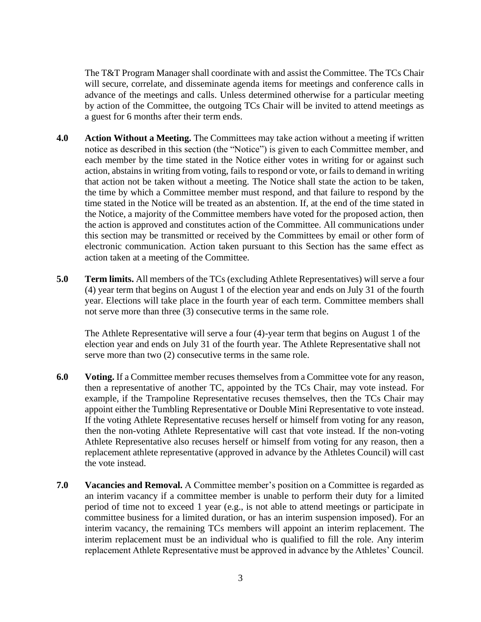The T&T Program Manager shall coordinate with and assist the Committee. The TCs Chair will secure, correlate, and disseminate agenda items for meetings and conference calls in advance of the meetings and calls. Unless determined otherwise for a particular meeting by action of the Committee, the outgoing TCs Chair will be invited to attend meetings as a guest for 6 months after their term ends.

- **4.0 Action Without a Meeting.** The Committees may take action without a meeting if written notice as described in this section (the "Notice") is given to each Committee member, and each member by the time stated in the Notice either votes in writing for or against such action, abstains in writing from voting, fails to respond or vote, or fails to demand in writing that action not be taken without a meeting. The Notice shall state the action to be taken, the time by which a Committee member must respond, and that failure to respond by the time stated in the Notice will be treated as an abstention. If, at the end of the time stated in the Notice, a majority of the Committee members have voted for the proposed action, then the action is approved and constitutes action of the Committee. All communications under this section may be transmitted or received by the Committees by email or other form of electronic communication. Action taken pursuant to this Section has the same effect as action taken at a meeting of the Committee.
- **5.0 Term limits.** All members of the TCs (excluding Athlete Representatives) will serve a four (4) year term that begins on August 1 of the election year and ends on July 31 of the fourth year. Elections will take place in the fourth year of each term. Committee members shall not serve more than three (3) consecutive terms in the same role.

The Athlete Representative will serve a four (4)-year term that begins on August 1 of the election year and ends on July 31 of the fourth year. The Athlete Representative shall not serve more than two (2) consecutive terms in the same role.

- **6.0 Voting.** If a Committee member recuses themselves from a Committee vote for any reason, then a representative of another TC, appointed by the TCs Chair, may vote instead. For example, if the Trampoline Representative recuses themselves, then the TCs Chair may appoint either the Tumbling Representative or Double Mini Representative to vote instead. If the voting Athlete Representative recuses herself or himself from voting for any reason, then the non-voting Athlete Representative will cast that vote instead. If the non-voting Athlete Representative also recuses herself or himself from voting for any reason, then a replacement athlete representative (approved in advance by the Athletes Council) will cast the vote instead.
- **7.0 Vacancies and Removal.** A Committee member's position on a Committee is regarded as an interim vacancy if a committee member is unable to perform their duty for a limited period of time not to exceed 1 year (e.g., is not able to attend meetings or participate in committee business for a limited duration, or has an interim suspension imposed). For an interim vacancy, the remaining TCs members will appoint an interim replacement. The interim replacement must be an individual who is qualified to fill the role. Any interim replacement Athlete Representative must be approved in advance by the Athletes' Council.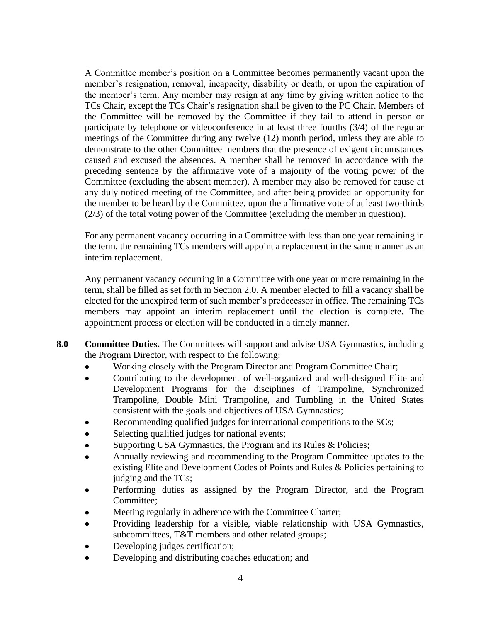A Committee member's position on a Committee becomes permanently vacant upon the member's resignation, removal, incapacity, disability or death, or upon the expiration of the member's term. Any member may resign at any time by giving written notice to the TCs Chair, except the TCs Chair's resignation shall be given to the PC Chair. Members of the Committee will be removed by the Committee if they fail to attend in person or participate by telephone or videoconference in at least three fourths (3/4) of the regular meetings of the Committee during any twelve (12) month period, unless they are able to demonstrate to the other Committee members that the presence of exigent circumstances caused and excused the absences. A member shall be removed in accordance with the preceding sentence by the affirmative vote of a majority of the voting power of the Committee (excluding the absent member). A member may also be removed for cause at any duly noticed meeting of the Committee, and after being provided an opportunity for the member to be heard by the Committee, upon the affirmative vote of at least two-thirds (2/3) of the total voting power of the Committee (excluding the member in question).

For any permanent vacancy occurring in a Committee with less than one year remaining in the term, the remaining TCs members will appoint a replacement in the same manner as an interim replacement.

Any permanent vacancy occurring in a Committee with one year or more remaining in the term, shall be filled as set forth in Section 2.0. A member elected to fill a vacancy shall be elected for the unexpired term of such member's predecessor in office. The remaining TCs members may appoint an interim replacement until the election is complete. The appointment process or election will be conducted in a timely manner.

- **8.0 Committee Duties.** The Committees will support and advise USA Gymnastics, including the Program Director, with respect to the following:
	- Working closely with the Program Director and Program Committee Chair;
	- Contributing to the development of well-organized and well-designed Elite and Development Programs for the disciplines of Trampoline, Synchronized Trampoline, Double Mini Trampoline, and Tumbling in the United States consistent with the goals and objectives of USA Gymnastics;
	- Recommending qualified judges for international competitions to the SCs;
	- Selecting qualified judges for national events;
	- Supporting USA Gymnastics, the Program and its Rules & Policies;
	- Annually reviewing and recommending to the Program Committee updates to the existing Elite and Development Codes of Points and Rules & Policies pertaining to judging and the TCs;
	- Performing duties as assigned by the Program Director, and the Program Committee;
	- Meeting regularly in adherence with the Committee Charter;
	- Providing leadership for a visible, viable relationship with USA Gymnastics, subcommittees, T&T members and other related groups;
	- Developing judges certification;
	- Developing and distributing coaches education; and